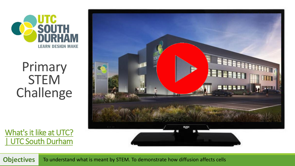

## Primary STEM Challenge

What's it like at UTC? [| UTC South Durham](https://www.utcsouthdurham.org/years-9-10-and-11/whats-it-like-at-utc)



**Objectives** To understand what is meant by STEM. To demonstrate how diffusion affects cells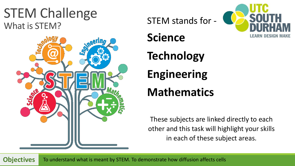### STEM Challenge What is STEM?



STEM stands for - **Science Technology Engineering**

### **Mathematics**

These subjects are linked directly to each other and this task will highlight your skills in each of these subject areas.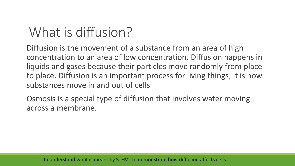# What is diffusion?

Diffusion is the movement of a substance from an area of high concentration to an area of low concentration. Diffusion happens in liquids and gases because their particles move randomly from place to place. Diffusion is an important process for living things; it is how substances move in and out of cells

Osmosis is a special type of diffusion that involves water moving across a membrane.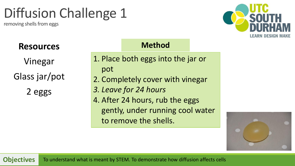# Diffusion Challenge 1

removing shells from eggs



### **Resources**

Vinegar Glass jar/pot

2 eggs

| <b>Method</b>                      |
|------------------------------------|
| 1. Place both eggs into the jar or |
| pot                                |
| 2. Completely cover with vinegar   |
| 3. Leave for 24 hours              |
| 4. After 24 hours, rub the eggs    |
| gently, under running cool water   |
| to remove the shells.              |

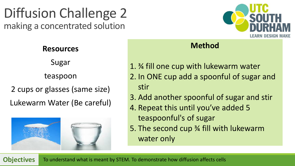### Diffusion Challenge 2 making a concentrated solution



#### **Resources**

Sugar

teaspoon

2 cups or glasses (same size)

Lukewarm Water (Be careful)



#### **Method**

- 1. ¾ fill one cup with lukewarm water 2. In ONE cup add a spoonful of sugar and stir
- 3. Add another spoonful of sugar and stir
- 4. Repeat this until you've added 5 teaspoonful's of sugar
- 5. The second cup ¾ fill with lukewarm water only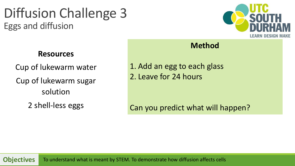Diffusion Challenge 3 Eggs and diffusion



#### **Resources**

Cup of lukewarm water Cup of lukewarm sugar solution

2 shell-less eggs

#### **Method**

1. Add an egg to each glass 2. Leave for 24 hours

Can you predict what will happen?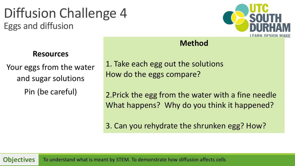Diffusion Challenge 4 Eggs and diffusion



#### **Resources**

Your eggs from the water and sugar solutions Pin (be careful)

1. Take each egg out the solutions How do the eggs compare?

2.Prick the egg from the water with a fine needle What happens? Why do you think it happened?

**Method**

3. Can you rehydrate the shrunken egg? How?

**Objectives** To understand what is meant by STEM. To demonstrate how diffusion affects cells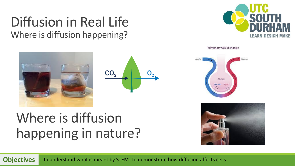### Diffusion in Real Life Where is diffusion happening?



**Objectives** To understand what is meant by STEM. To demonstrate how diffusion affects cells

**Pulmonary Gas Exchange** 







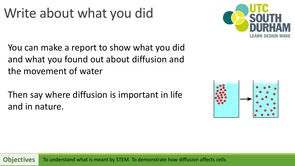# Write about what you did



You can make a report to show what you did and what you found out about diffusion and the movement of water

Then say where diffusion is important in life and in nature.